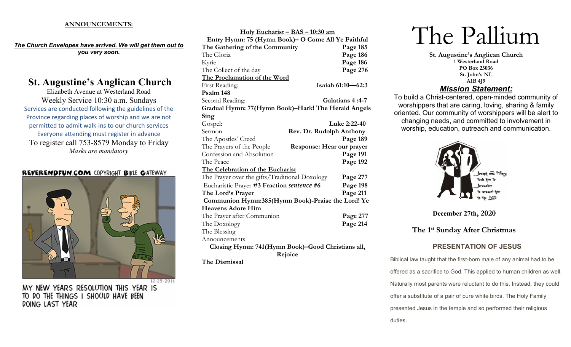### ANNOUNCEMENTS:

The Church Envelopes have arrived. We will get them out to you very soon.

# St. Augustine's Anglican Church

Elizabeth Avenue at Westerland Road Weekly Service 10:30 a.m. Sundays Services are conducted following the guidelines of the Province regarding places of worship and we are not permitted to admit walk-ins to our church services Everyone attending must register in advance To register call 753-8579 Monday to Friday Masks are mandatory

#### **REVERENDFUN.COM COPYRIGHT BIBLE GATEWAY**



MY NEW YEARS RESOLUTION THIS YEAR IS TO DO THE THINGS I SHOULD HAVE BEEN DOING LAST YEAR

| <u> Holy Eucharist – BAS – 10:30 am</u>                |                          |  |
|--------------------------------------------------------|--------------------------|--|
| Entry Hymn: 75 (Hymn Book)- O Come All Ye Faithful     |                          |  |
| The Gathering of the Community                         | Page 185                 |  |
| The Gloria                                             | Page 186                 |  |
| Kyrie                                                  | Page 186                 |  |
| The Collect of the day                                 | Page 276                 |  |
| The Proclamation of the Word                           |                          |  |
| First Reading:                                         | Isaiah 61:10-62:3        |  |
| Psalm 148                                              |                          |  |
| Second Reading:                                        | Galatians 4:4-7          |  |
| Gradual Hymn: 77(Hymn Book)-Hark! The Herald Angels    |                          |  |
| Sing                                                   |                          |  |
| Gospel:                                                | Luke 2:22-40             |  |
| Sermon                                                 | Rev. Dr. Rudolph Anthony |  |
| The Apostles' Creed                                    | Page 189                 |  |
| The Prayers of the People<br>Response: Hear our prayer |                          |  |
| Confession and Absolution                              | Page 191                 |  |
| The Peace                                              | Page 192                 |  |
| The Celebration of the Eucharist                       |                          |  |
| The Prayer over the gifts/Traditional Doxology         | Page 277                 |  |
| Eucharistic Prayer #3 Fraction sentence #6             | Page 198                 |  |
| The Lord's Prayer                                      | Page 211                 |  |
| Communion Hymn:385(Hymn Book)-Praise the Lord! Ye      |                          |  |
| <b>Heavens Adore Him</b>                               |                          |  |
| The Prayer after Communion                             | Page 277                 |  |
| The Doxology                                           | Page 214                 |  |
| The Blessing                                           |                          |  |
| Announcements                                          |                          |  |
| Closing Hymn: 741(Hymn Book)-Good Christians all,      |                          |  |
| Rejoice                                                |                          |  |

The Dismissal

# The Pallium

St. Augustine's Anglican Church 1 Westerland Road PO Box 23036 St. John's NL A1B 4J9

## Mission Statement:

To build a Christ-centered, open-minded community of worshippers that are caring, loving, sharing & family oriented. Our community of worshippers will be alert to changing needs, and committed to involvement in worship, education, outreach and communication.



December 27th, 2020

The 1<sup>st</sup> Sunday After Christmas

# PRESENTATION OF JESUS

Biblical law taught that the first-born male of any animal had to be offered as a sacrifice to God. This applied to human children as well. Naturally most parents were reluctant to do this. Instead, they could offer a substitute of a pair of pure white birds. The Holy Family presented Jesus in the temple and so performed their religious duties.